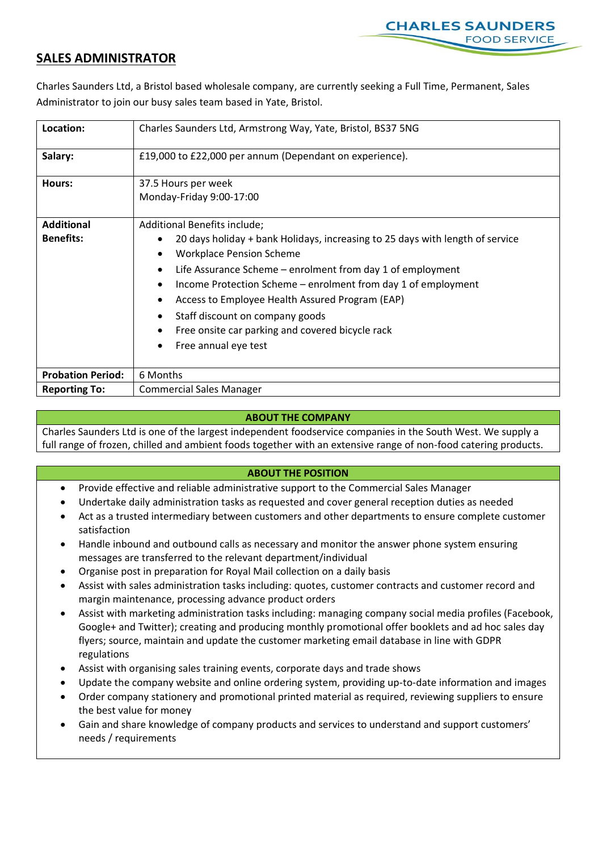

## **SALES ADMINISTRATOR**

Charles Saunders Ltd, a Bristol based wholesale company, are currently seeking a Full Time, Permanent, Sales Administrator to join our busy sales team based in Yate, Bristol.

| Location:                | Charles Saunders Ltd, Armstrong Way, Yate, Bristol, BS37 5NG                                                                                                                                                                                                                                                                                                                                                                     |
|--------------------------|----------------------------------------------------------------------------------------------------------------------------------------------------------------------------------------------------------------------------------------------------------------------------------------------------------------------------------------------------------------------------------------------------------------------------------|
| Salary:                  | £19,000 to £22,000 per annum (Dependant on experience).                                                                                                                                                                                                                                                                                                                                                                          |
| Hours:                   | 37.5 Hours per week<br>Monday-Friday 9:00-17:00                                                                                                                                                                                                                                                                                                                                                                                  |
| <b>Additional</b>        | Additional Benefits include;                                                                                                                                                                                                                                                                                                                                                                                                     |
| <b>Benefits:</b>         | 20 days holiday + bank Holidays, increasing to 25 days with length of service<br><b>Workplace Pension Scheme</b><br>Life Assurance Scheme – enrolment from day 1 of employment<br>٠<br>Income Protection Scheme - enrolment from day 1 of employment<br>٠<br>Access to Employee Health Assured Program (EAP)<br>٠<br>Staff discount on company goods<br>Free onsite car parking and covered bicycle rack<br>Free annual eye test |
| <b>Probation Period:</b> | 6 Months                                                                                                                                                                                                                                                                                                                                                                                                                         |
| <b>Reporting To:</b>     | <b>Commercial Sales Manager</b>                                                                                                                                                                                                                                                                                                                                                                                                  |

## **ABOUT THE COMPANY**

Charles Saunders Ltd is one of the largest independent foodservice companies in the South West. We supply a full range of frozen, chilled and ambient foods together with an extensive range of non-food catering products.

## **ABOUT THE POSITION**

- Provide effective and reliable administrative support to the Commercial Sales Manager
- Undertake daily administration tasks as requested and cover general reception duties as needed
- Act as a trusted intermediary between customers and other departments to ensure complete customer satisfaction
- Handle inbound and outbound calls as necessary and monitor the answer phone system ensuring messages are transferred to the relevant department/individual
- Organise post in preparation for Royal Mail collection on a daily basis
- Assist with sales administration tasks including: quotes, customer contracts and customer record and margin maintenance, processing advance product orders
- Assist with marketing administration tasks including: managing company social media profiles (Facebook, Google+ and Twitter); creating and producing monthly promotional offer booklets and ad hoc sales day flyers; source, maintain and update the customer marketing email database in line with GDPR regulations
- Assist with organising sales training events, corporate days and trade shows
- Update the company website and online ordering system, providing up-to-date information and images
- Order company stationery and promotional printed material as required, reviewing suppliers to ensure the best value for money
- Gain and share knowledge of company products and services to understand and support customers' needs / requirements